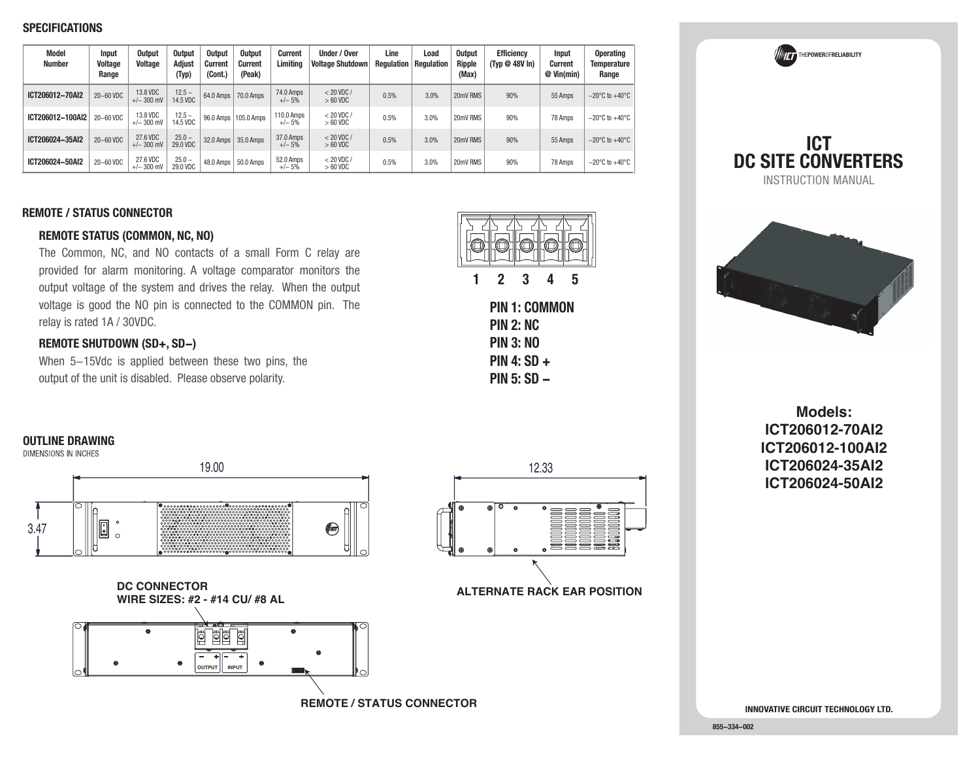### **SPECIFICATIONS**

| Model<br><b>Number</b> | Input<br>Voltage<br>Range | <b>Output</b><br>Voltage | <b>Output</b><br>Adiust<br>(Typ) | <b>Output</b><br><b>Current</b><br>(Cont.) | <b>Output</b><br><b>Current</b><br>(Peak) | <b>Current</b><br>Limitina | Under / Over<br><b>Voltage Shutdown</b> | Line<br><b>Requiation   Requiation</b> | Load | <b>Output</b><br>Ripple<br>(Max) | <b>Efficiency</b><br>(Typ @ 48V In) | <b>Input</b><br>Current<br>$@$ Vin(min) | <b>Operating</b><br><b>Temperature</b><br>Range |
|------------------------|---------------------------|--------------------------|----------------------------------|--------------------------------------------|-------------------------------------------|----------------------------|-----------------------------------------|----------------------------------------|------|----------------------------------|-------------------------------------|-----------------------------------------|-------------------------------------------------|
| ICT206012-70AI2        | 20-60 VDC                 | 13.8 VDC<br>$+/- 300$ mV | $12.5 -$<br>14.5 VDC             |                                            | 64.0 Amps   70.0 Amps                     | 74.0 Amps<br>$+/- 5%$      | $< 20$ VDC /<br>$>60$ VDC               | 0.5%                                   | 3.0% | 20mV RMS                         | 90%                                 | 55 Amps                                 | $-20^{\circ}$ C to $+40^{\circ}$ C              |
| ICT206012-100AI2       | 20-60 VDC                 | 13.8 VDC<br>$+/-$ 300 mV | $12.5 -$<br>14.5 VDC             |                                            | 96.0 Amps   105.0 Amps                    | 110.0 Amps<br>$+/- 5%$     | $< 20$ VDC /<br>$>60$ VDC               | 0.5%                                   | 3.0% | 20mV RMS                         | 90%                                 | 78 Amps                                 | $-20^{\circ}$ C to $+40^{\circ}$ C              |
| ICT206024-35Al2        | 20-60 VDC                 | 27.6 VDC<br>$+/- 300$ mV | $25.0 -$<br>29.0 VDC             |                                            | 32.0 Amps 35.0 Amps                       | 37.0 Amps<br>$+/- 5%$      | $< 20$ VDC /<br>$>60$ VDC               | 0.5%                                   | 3.0% | 20mV RMS                         | 90%                                 | 55 Amps                                 | $-20^{\circ}$ C to $+40^{\circ}$ C              |
| ICT206024-50Al2        | 20-60 VDC                 | 27.6 VDC<br>$+/- 300$ mV | $25.0 -$<br>29.0 VDC             |                                            | 48.0 Amps   50.0 Amps                     | 52.0 Amps<br>$+/- 5%$      | $< 20$ VDC /<br>$>60$ VDC               | 0.5%                                   | 3.0% | 20mV RMS                         | 90%                                 | 78 Amps                                 | $-20^{\circ}$ C to $+40^{\circ}$ C              |

### **REMOTE / STATUS CONNECTOR**

### **REMOTE STATUS (COMMON, NC, NO)**

The Common, NC, and NO contacts of a small Form C relay are provided for alarm monitoring. A voltage comparator monitors the output voltage of the system and drives the relay. When the output voltage is good the NO pin is connected to the COMMON pin. The relay is rated 1A / 30VDC.

### **REMOTE SHUTDOWN (SD+, SD-)**

When 5-15Vdc is applied between these two pins, the output of the unit is disabled. Please observe polarity.



THE**POWER**OF**RELIABILITY**llitt





**Models: ICT206012-70AI2 ICT206012-100AI2 ICT206024-35AI2ICT206024-50AI2**

### **OUTLINE DRAWING**



**DC CONNECTORWIRE SIZES: #2 - #14 CU/ #8 AL**



**REMOTE / STATUS CONNECTOR**



**ALTERNATE RACK EAR POSITION**

**INNOVATIVE CIRCUIT TECHNOLOGY LTD.**

**855-334-002**